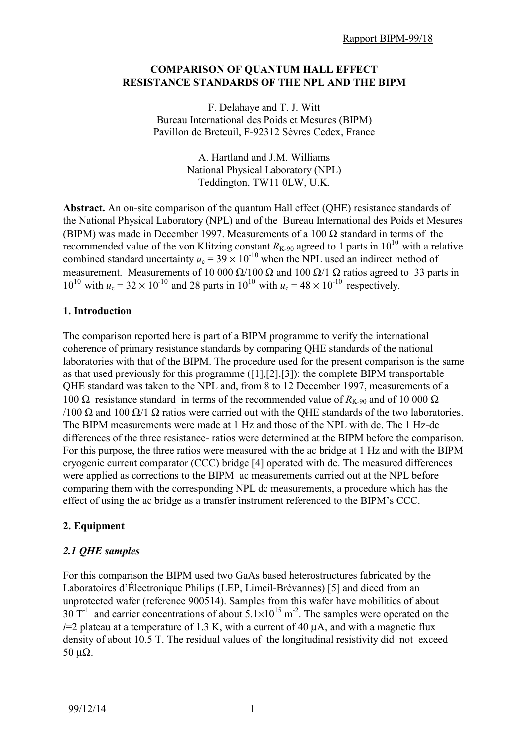#### **COMPARISON OF QUANTUM HALL EFFECT RESISTANCE STANDARDS OF THE NPL AND THE BIPM**

F. Delahaye and T. J. Witt Bureau International des Poids et Mesures (BIPM) Pavillon de Breteuil, F-92312 Sèvres Cedex, France

> A. Hartland and J.M. Williams National Physical Laboratory (NPL) Teddington, TW11 0LW, U.K.

**Abstract.** An on-site comparison of the quantum Hall effect (QHE) resistance standards of the National Physical Laboratory (NPL) and of the Bureau International des Poids et Mesures (BIPM) was made in December 1997. Measurements of a 100  $\Omega$  standard in terms of the recommended value of the von Klitzing constant  $R_{K-90}$  agreed to 1 parts in 10<sup>10</sup> with a relative combined standard uncertainty  $u_c = 39 \times 10^{-10}$  when the NPL used an indirect method of measurement. Measurements of 10 000  $\Omega/100 \Omega$  and 100  $\Omega/1 \Omega$  ratios agreed to 33 parts in  $10^{10}$  with  $u_c = 32 \times 10^{-10}$  and 28 parts in  $10^{10}$  with  $u_c = 48 \times 10^{-10}$  respectively.

## **1. Introduction**

The comparison reported here is part of a BIPM programme to verify the international coherence of primary resistance standards by comparing QHE standards of the national laboratories with that of the BIPM. The procedure used for the present comparison is the same as that used previously for this programme ([1],[2],[3]): the complete BIPM transportable QHE standard was taken to the NPL and, from 8 to 12 December 1997, measurements of a 100 Ω resistance standard in terms of the recommended value of  $R_{K-90}$  and of 10 000 Ω /100 Ω and 100 Ω/1 Ω ratios were carried out with the QHE standards of the two laboratories. The BIPM measurements were made at 1 Hz and those of the NPL with dc. The 1 Hz-dc differences of the three resistance- ratios were determined at the BIPM before the comparison. For this purpose, the three ratios were measured with the ac bridge at 1 Hz and with the BIPM cryogenic current comparator (CCC) bridge [4] operated with dc. The measured differences were applied as corrections to the BIPM ac measurements carried out at the NPL before comparing them with the corresponding NPL dc measurements, a procedure which has the effect of using the ac bridge as a transfer instrument referenced to the BIPM's CCC.

# **2. Equipment**

# *2.1 QHE samples*

For this comparison the BIPM used two GaAs based heterostructures fabricated by the Laboratoires d'Électronique Philips (LEP, Limeil-Brévannes) [5] and diced from an unprotected wafer (reference 900514). Samples from this wafer have mobilities of about 30 T<sup>-1</sup> and carrier concentrations of about  $5.1 \times 10^{15}$  m<sup>-2</sup>. The samples were operated on the  $i=2$  plateau at a temperature of 1.3 K, with a current of 40  $\mu$ A, and with a magnetic flux density of about 10.5 T. The residual values of the longitudinal resistivity did not exceed 50 μ $\Omega$ .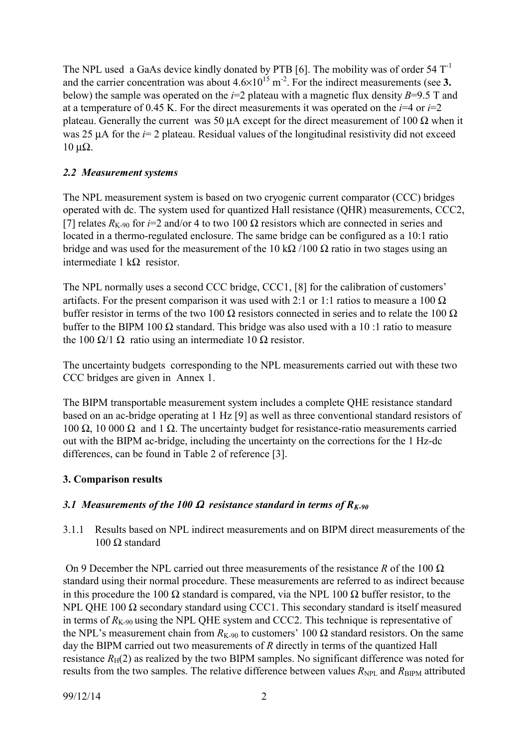The NPL used a GaAs device kindly donated by PTB [6]. The mobility was of order  $54$  T<sup>-1</sup> and the carrier concentration was about  $4.6 \times 10^{15}$  m<sup>-2</sup>. For the indirect measurements (see 3. below) the sample was operated on the *i*=2 plateau with a magnetic flux density *B*=9.5 T and at a temperature of 0.45 K. For the direct measurements it was operated on the  $i=4$  or  $i=2$ plateau. Generally the current was 50  $\mu$ A except for the direct measurement of 100  $\Omega$  when it was 25 µA for the *i*= 2 plateau. Residual values of the longitudinal resistivity did not exceed  $10$  μΩ.

### *2.2 Measurement systems*

The NPL measurement system is based on two cryogenic current comparator (CCC) bridges operated with dc. The system used for quantized Hall resistance (QHR) measurements, CCC2, [7] relates  $R_{K-90}$  for *i*=2 and/or 4 to two 100  $\Omega$  resistors which are connected in series and located in a thermo-regulated enclosure. The same bridge can be configured as a 10:1 ratio bridge and was used for the measurement of the 10 k $\Omega$  /100  $\Omega$  ratio in two stages using an intermediate 1 kΩ resistor.

The NPL normally uses a second CCC bridge, CCC1, [8] for the calibration of customers' artifacts. For the present comparison it was used with 2:1 or 1:1 ratios to measure a 100  $\Omega$ buffer resistor in terms of the two 100  $\Omega$  resistors connected in series and to relate the 100  $\Omega$ buffer to the BIPM 100  $\Omega$  standard. This bridge was also used with a 10 :1 ratio to measure the 100 Ω/1 Ω ratio using an intermediate 10 Ω resistor.

The uncertainty budgets corresponding to the NPL measurements carried out with these two CCC bridges are given in Annex 1.

The BIPM transportable measurement system includes a complete QHE resistance standard based on an ac-bridge operating at 1 Hz [9] as well as three conventional standard resistors of 100 Ω, 10 000 Ω and 1 Ω. The uncertainty budget for resistance-ratio measurements carried out with the BIPM ac-bridge, including the uncertainty on the corrections for the 1 Hz-dc differences, can be found in Table 2 of reference [3].

# **3. Comparison results**

# *3.1 Measurements of the 100* Ω *resistance standard in terms of RK-90*

3.1.1 Results based on NPL indirect measurements and on BIPM direct measurements of the 100 Ω standard

 On 9 December the NPL carried out three measurements of the resistance *R* of the 100 Ω standard using their normal procedure. These measurements are referred to as indirect because in this procedure the 100  $\Omega$  standard is compared, via the NPL 100  $\Omega$  buffer resistor, to the NPL OHE 100 Ω secondary standard using CCC1. This secondary standard is itself measured in terms of  $R_{K-90}$  using the NPL QHE system and CCC2. This technique is representative of the NPL's measurement chain from  $R_{K-90}$  to customers' 100  $\Omega$  standard resistors. On the same day the BIPM carried out two measurements of *R* directly in terms of the quantized Hall resistance  $R_H(2)$  as realized by the two BIPM samples. No significant difference was noted for results from the two samples. The relative difference between values  $R_{\text{NPL}}$  and  $R_{\text{BIPM}}$  attributed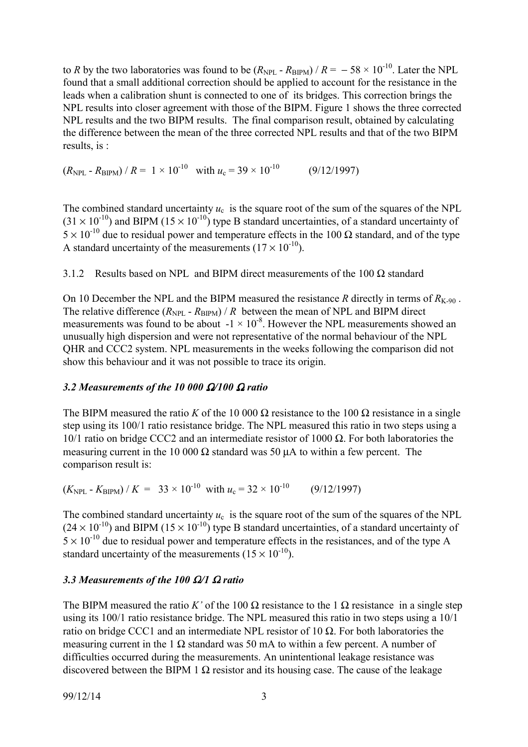to *R* by the two laboratories was found to be  $(R_{\text{NPL}} - R_{\text{BIPM}})/R = -58 \times 10^{-10}$ . Later the NPL found that a small additional correction should be applied to account for the resistance in the leads when a calibration shunt is connected to one of its bridges. This correction brings the NPL results into closer agreement with those of the BIPM. Figure 1 shows the three corrected NPL results and the two BIPM results. The final comparison result, obtained by calculating the difference between the mean of the three corrected NPL results and that of the two BIPM results, is :

 $(R_{\text{NPL}} - R_{\text{BIPM}}) / R = 1 \times 10^{-10}$  with  $u_c = 39 \times 10^{-10}$  (9/12/1997)

The combined standard uncertainty  $u_c$  is the square root of the sum of the squares of the NPL  $(31 \times 10^{-10})$  and BIPM  $(15 \times 10^{-10})$  type B standard uncertainties, of a standard uncertainty of  $5 \times 10^{-10}$  due to residual power and temperature effects in the 100  $\Omega$  standard, and of the type A standard uncertainty of the measurements  $(17 \times 10^{-10})$ .

3.1.2 Results based on NPL and BIPM direct measurements of the 100  $\Omega$  standard

On 10 December the NPL and the BIPM measured the resistance *R* directly in terms of  $R_{K-90}$ . The relative difference  $(R_{\text{NPI}} - R_{\text{RIPM}})/R$  between the mean of NPL and BIPM direct measurements was found to be about  $-1 \times 10^{-8}$ . However the NPL measurements showed an unusually high dispersion and were not representative of the normal behaviour of the NPL QHR and CCC2 system. NPL measurements in the weeks following the comparison did not show this behaviour and it was not possible to trace its origin.

#### *3.2 Measurements of the 10 000* Ω*/100* Ω *ratio*

The BIPM measured the ratio *K* of the 10 000  $\Omega$  resistance to the 100  $\Omega$  resistance in a single step using its 100/1 ratio resistance bridge. The NPL measured this ratio in two steps using a 10/1 ratio on bridge CCC2 and an intermediate resistor of 1000 Ω. For both laboratories the measuring current in the 10 000  $\Omega$  standard was 50  $\mu$ A to within a few percent. The comparison result is:

 $(K_{\text{NPL}} - K_{\text{BIPM}}) / K = 33 \times 10^{-10}$  with  $u_c = 32 \times 10^{-10}$  (9/12/1997)

The combined standard uncertainty  $u_c$  is the square root of the sum of the squares of the NPL  $(24 \times 10^{-10})$  and BIPM  $(15 \times 10^{-10})$  type B standard uncertainties, of a standard uncertainty of  $5 \times 10^{-10}$  due to residual power and temperature effects in the resistances, and of the type A standard uncertainty of the measurements  $(15 \times 10^{-10})$ .

#### *3.3 Measurements of the 100* Ω*/1* Ω *ratio*

The BIPM measured the ratio *K'* of the 100  $\Omega$  resistance to the 1  $\Omega$  resistance in a single step using its 100/1 ratio resistance bridge. The NPL measured this ratio in two steps using a 10/1 ratio on bridge CCC1 and an intermediate NPL resistor of 10 Ω. For both laboratories the measuring current in the 1  $\Omega$  standard was 50 mA to within a few percent. A number of difficulties occurred during the measurements. An unintentional leakage resistance was discovered between the BIPM 1  $\Omega$  resistor and its housing case. The cause of the leakage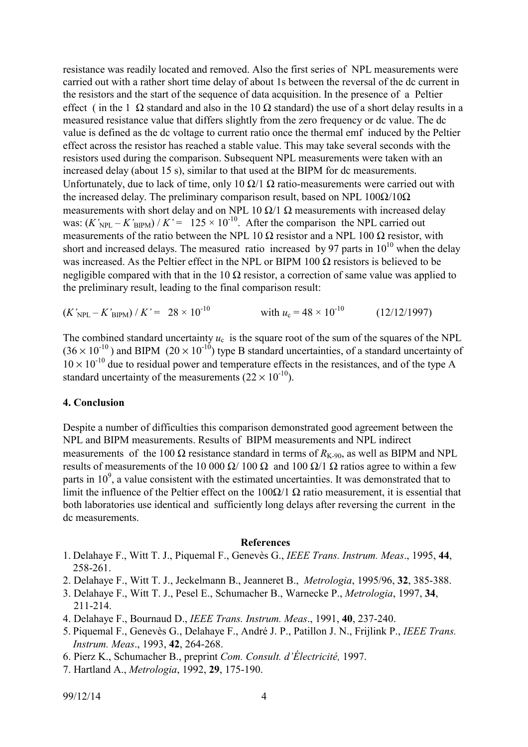resistance was readily located and removed. Also the first series of NPL measurements were carried out with a rather short time delay of about 1s between the reversal of the dc current in the resistors and the start of the sequence of data acquisition. In the presence of a Peltier effect (in the 1  $\Omega$  standard and also in the 10  $\Omega$  standard) the use of a short delay results in a measured resistance value that differs slightly from the zero frequency or dc value. The dc value is defined as the dc voltage to current ratio once the thermal emf induced by the Peltier effect across the resistor has reached a stable value. This may take several seconds with the resistors used during the comparison. Subsequent NPL measurements were taken with an increased delay (about 15 s), similar to that used at the BIPM for dc measurements. Unfortunately, due to lack of time, only 10  $\Omega/1 \Omega$  ratio-measurements were carried out with the increased delay. The preliminary comparison result, based on NPL  $100\Omega/10\Omega$ measurements with short delay and on NPL 10  $\Omega/1 \Omega$  measurements with increased delay was:  $(K'_{\text{NPL}} - K'_{\text{BIPM}})/K' = 125 \times 10^{-10}$ . After the comparison the NPL carried out measurements of the ratio between the NPL 10  $\Omega$  resistor and a NPL 100  $\Omega$  resistor, with short and increased delays. The measured ratio increased by 97 parts in  $10^{10}$  when the delay was increased. As the Peltier effect in the NPL or BIPM 100  $\Omega$  resistors is believed to be negligible compared with that in the 10  $\Omega$  resistor, a correction of same value was applied to the preliminary result, leading to the final comparison result:

 $(K'_{\text{NPL}} - K'_{\text{BIPM}}) / K' = 28 \times 10^{-10}$  with  $u_c = 48 \times 10^{-10}$  (12/12/1997)

The combined standard uncertainty  $u_c$  is the square root of the sum of the squares of the NPL  $(36 \times 10^{-10})$  and BIPM  $(20 \times 10^{-10})$  type B standard uncertainties, of a standard uncertainty of  $10 \times 10^{-10}$  due to residual power and temperature effects in the resistances, and of the type A standard uncertainty of the measurements  $(22 \times 10^{-10})$ .

#### **4. Conclusion**

Despite a number of difficulties this comparison demonstrated good agreement between the NPL and BIPM measurements. Results of BIPM measurements and NPL indirect measurements of the 100  $\Omega$  resistance standard in terms of  $R_{K-90}$ , as well as BIPM and NPL results of measurements of the 10 000 Ω/ 100 Ω and 100 Ω/1 Ω ratios agree to within a few parts in  $10^9$ , a value consistent with the estimated uncertainties. It was demonstrated that to limit the influence of the Peltier effect on the  $100\Omega/1 \Omega$  ratio measurement, it is essential that both laboratories use identical and sufficiently long delays after reversing the current in the dc measurements.

#### **References**

- 1. Delahaye F., Witt T. J., Piquemal F., Genevès G., *IEEE Trans. Instrum. Meas*., 1995, **44**, 258-261.
- 2. Delahaye F., Witt T. J., Jeckelmann B., Jeanneret B., *Metrologia*, 1995/96, **32**, 385-388.
- 3. Delahaye F., Witt T. J., Pesel E., Schumacher B., Warnecke P., *Metrologia*, 1997, **34**, 211-214.
- 4. Delahaye F., Bournaud D., *IEEE Trans. Instrum. Meas*., 1991, **40**, 237-240.
- 5. Piquemal F., Genevès G., Delahaye F., André J. P., Patillon J. N., Frijlink P., *IEEE Trans. Instrum. Meas*., 1993, **42**, 264-268.
- 6. Pierz K., Schumacher B., preprint *Com. Consult. d'Électricité,* 1997.
- 7. Hartland A., *Metrologia*, 1992, **29**, 175-190.

99/12/14 4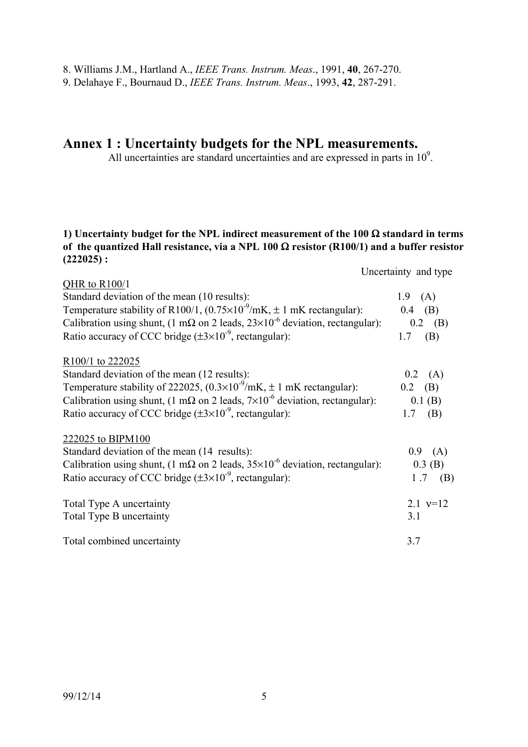9. Delahaye F., Bournaud D., *IEEE Trans. Instrum. Meas*., 1993, **42**, 287-291.

# **Annex 1 : Uncertainty budgets for the NPL measurements.**

All uncertainties are standard uncertainties and are expressed in parts in  $10<sup>9</sup>$ .

#### **1) Uncertainty budget for the NPL indirect measurement of the 100** Ω **standard in terms of the quantized Hall resistance, via a NPL 100** Ω **resistor (R100/1) and a buffer resistor (222025) :**

Uncertainty and type

| QHR to $R100/1$<br>Standard deviation of the mean (10 results):<br>Temperature stability of R100/1, $(0.75 \times 10^{-9} \text{/mK}, \pm 1 \text{ mK} \text{ rectangular})$ :<br>Calibration using shunt, (1 m $\Omega$ on 2 leads, 23×10 <sup>-6</sup> deviation, rectangular):<br>Ratio accuracy of CCC bridge $(\pm 3 \times 10^{-9})$ , rectangular): | 1.9 $(A)$<br>$0.4$ (B)<br>$0.2$ (B)<br>(B)<br>1.7  |
|------------------------------------------------------------------------------------------------------------------------------------------------------------------------------------------------------------------------------------------------------------------------------------------------------------------------------------------------------------|----------------------------------------------------|
| R100/1 to 222025<br>Standard deviation of the mean (12 results):<br>Temperature stability of 222025, $(0.3 \times 10^{-9} \text{/mK}, \pm 1 \text{ mK} \text{ rectangular})$ :<br>Calibration using shunt, (1 m $\Omega$ on 2 leads, 7×10 <sup>-6</sup> deviation, rectangular):<br>Ratio accuracy of CCC bridge $(\pm 3 \times 10^{-9})$ , rectangular):  | $0.2$ (A)<br>$0.2$ (B)<br>$0.1$ (B)<br>$1.7$ (B)   |
| 222025 to BIPM100<br>Standard deviation of the mean (14 results):<br>Calibration using shunt, (1 m $\Omega$ on 2 leads, $35\times10^{-6}$ deviation, rectangular):<br>Ratio accuracy of CCC bridge $(\pm 3 \times 10^{-9})$ , rectangular):                                                                                                                | 0.9 <sub>o</sub><br>(A)<br>$0.3$ (B)<br>1.7<br>(B) |
| Total Type A uncertainty<br>Total Type B uncertainty                                                                                                                                                                                                                                                                                                       | 2.1 $v=12$<br>3.1                                  |
| Total combined uncertainty                                                                                                                                                                                                                                                                                                                                 | 3.7                                                |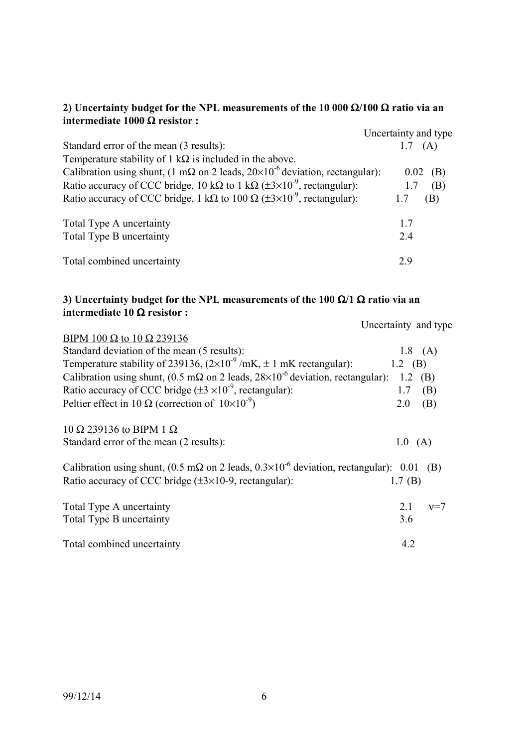# **2) Uncertainty budget for the NPL measurements of the 10 000** Ω**/100** Ω **ratio via an intermediate 1000** Ω **resistor :**

|                                                                                                      | Uncertainty and type |
|------------------------------------------------------------------------------------------------------|----------------------|
| Standard error of the mean (3 results):                                                              | 1.7(A)               |
| Temperature stability of 1 k $\Omega$ is included in the above.                                      |                      |
| Calibration using shunt, (1 m $\Omega$ on 2 leads, $20 \times 10^{-6}$ deviation, rectangular):      | $0.02$ (B)           |
| Ratio accuracy of CCC bridge, 10 k $\Omega$ to 1 k $\Omega$ ( $\pm 3 \times 10^{-9}$ , rectangular): | (B)<br>1.7           |
| Ratio accuracy of CCC bridge, 1 k $\Omega$ to 100 $\Omega$ ( $\pm 3 \times 10^{-9}$ , rectangular):  | (B)                  |
| Total Type A uncertainty                                                                             | 17                   |
| Total Type B uncertainty                                                                             | 2.4                  |
| Total combined uncertainty                                                                           | 29                   |

# **3) Uncertainty budget for the NPL measurements of the 100** Ω**/1** Ω **ratio via an intermediate 10** Ω **resistor :**

Uncertainty and type

| BIPM 100 $\Omega$ to 10 $\Omega$ 239136                                                                     |         |           |
|-------------------------------------------------------------------------------------------------------------|---------|-----------|
| Standard deviation of the mean (5 results):                                                                 |         | $1.8$ (A) |
| Temperature stability of 239136, $(2\times10^{-9}$ /mK, $\pm 1$ mK rectangular):                            | 1.2 (B) |           |
| Calibration using shunt, (0.5 m $\Omega$ on 2 leads, 28×10 <sup>-6</sup> deviation, rectangular):           | 1.2     | (B)       |
| Ratio accuracy of CCC bridge $(\pm 3 \times 10^{-9})$ , rectangular):                                       | 1.7     | (B)       |
| Peltier effect in 10 $\Omega$ (correction of $10\times10^{-9}$ )                                            | 2.0     | (B)       |
| 10 Ω 239136 to BIPM 1 Ω                                                                                     |         |           |
| Standard error of the mean (2 results):                                                                     | 1.0(A)  |           |
| Calibration using shunt, (0.5 m $\Omega$ on 2 leads, 0.3×10 <sup>-6</sup> deviation, rectangular): 0.01 (B) |         |           |
| Ratio accuracy of CCC bridge $(\pm 3 \times 10{-}9)$ , rectangular):                                        | 1.7(B)  |           |
| Total Type A uncertainty                                                                                    | 2.1     | $v=7$     |
| Total Type B uncertainty                                                                                    | 3.6     |           |
| Total combined uncertainty                                                                                  | 4.2     |           |